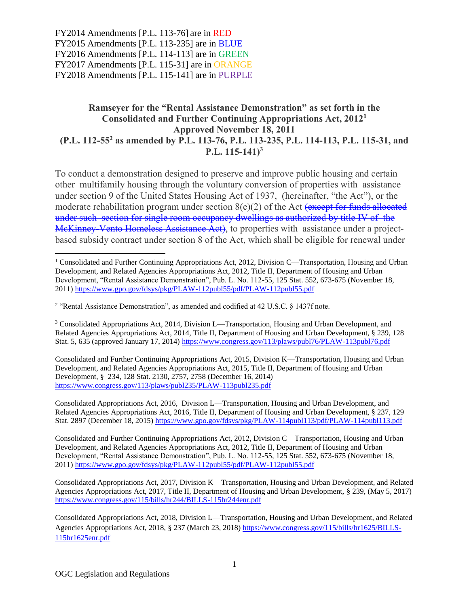## Ramseyer for the "Rental Assistance Demonstration" as set forth in the Consolidated and Further Continuing Appropriations Act, 2012<sup>1</sup> Approved November 18, 2011 (P.L. 112-55<sup>2</sup> as amended by P.L. 113-76, P.L. 113-235, P.L. 114-113, P.L. 115-31, and P.L.  $115-141$ <sup>3</sup>

To conduct a demonstration designed to preserve and improve public housing and certain other multifamily housing through the voluntary conversion of properties with assistance under section 9 of the United States Housing Act of 1937, (hereinafter, "the Act"), or the moderate rehabilitation program under section  $8(e)(2)$  of the Act (except for funds allocated under such section for single room occupancy dwellings as authorized by title IV of the McKinney-Vento Homeless Assistance Act), to properties with assistance under a projectbased subsidy contract under section 8 of the Act, which shall be eligible for renewal under

<sup>3</sup> Consolidated Appropriations Act, 2014, Division L—Transportation, Housing and Urban Development, and Related Agencies Appropriations Act, 2014, Title II, Department of Housing and Urban Development, § 239, 128 Stat. 5, 635 (approved January 17, 2014)<https://www.congress.gov/113/plaws/publ76/PLAW-113publ76.pdf>

Consolidated and Further Continuing Appropriations Act, 2015, Division K—Transportation, Housing and Urban Development, and Related Agencies Appropriations Act, 2015, Title II, Department of Housing and Urban Development, § 234, 128 Stat. 2130, 2757, 2758 (December 16, 2014) <https://www.congress.gov/113/plaws/publ235/PLAW-113publ235.pdf>

Consolidated Appropriations Act, 2016, Division L—Transportation, Housing and Urban Development, and Related Agencies Appropriations Act, 2016, Title II, Department of Housing and Urban Development, § 237, 129 Stat. 2897 (December 18, 2015)<https://www.gpo.gov/fdsys/pkg/PLAW-114publ113/pdf/PLAW-114publ113.pdf>

Consolidated and Further Continuing Appropriations Act, 2012, Division C—Transportation, Housing and Urban Development, and Related Agencies Appropriations Act, 2012, Title II, Department of Housing and Urban Development, "Rental Assistance Demonstration", Pub. L. No. 112-55, 125 Stat. 552, 673-675 (November 18, 2011)<https://www.gpo.gov/fdsys/pkg/PLAW-112publ55/pdf/PLAW-112publ55.pdf>

 $\overline{\phantom{a}}$ 

<sup>&</sup>lt;sup>1</sup> Consolidated and Further Continuing Appropriations Act, 2012, Division C—Transportation, Housing and Urban Development, and Related Agencies Appropriations Act, 2012, Title II, Department of Housing and Urban Development, "Rental Assistance Demonstration", Pub. L. No. 112-55, 125 Stat. 552, 673-675 (November 18, 2011)<https://www.gpo.gov/fdsys/pkg/PLAW-112publ55/pdf/PLAW-112publ55.pdf>

<sup>&</sup>lt;sup>2</sup> "Rental Assistance Demonstration", as amended and codified at 42 U.S.C. § 1437f note.

Consolidated Appropriations Act, 2017, Division K—Transportation, Housing and Urban Development, and Related Agencies Appropriations Act, 2017, Title II, Department of Housing and Urban Development, § 239, (May 5, 2017) <https://www.congress.gov/115/bills/hr244/BILLS-115hr244enr.pdf>

Consolidated Appropriations Act, 2018, Division L—Transportation, Housing and Urban Development, and Related Agencies Appropriations Act, 2018, § 237 (March 23, 2018) [https://www.congress.gov/115/bills/hr1625/BILLS-](https://www.congress.gov/115/bills/hr1625/BILLS-115hr1625enr.pdf)[115hr1625enr.pdf](https://www.congress.gov/115/bills/hr1625/BILLS-115hr1625enr.pdf)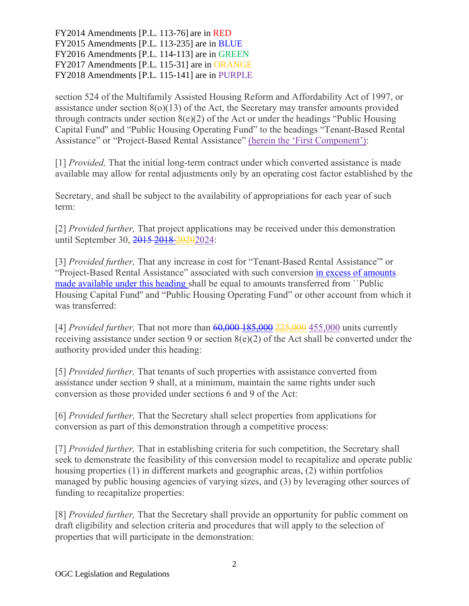section 524 of the Multifamily Assisted Housing Reform and Affordability Act of 1997, or assistance under section  $8(0)(13)$  of the Act, the Secretary may transfer amounts provided through contracts under section  $8(e)(2)$  of the Act or under the headings "Public Housing Capital Fund'' and "Public Housing Operating Fund" to the headings "Tenant-Based Rental Assistance" or "Project-Based Rental Assistance" (herein the 'First Component'):

[1] *Provided,* That the initial long-term contract under which converted assistance is made available may allow for rental adjustments only by an operating cost factor established by the

Secretary, and shall be subject to the availability of appropriations for each year of such term:

[2] *Provided further,* That project applications may be received under this demonstration until September 30, 2015 2018 2020 2024:

[3] *Provided further,* That any increase in cost for "Tenant-Based Rental Assistance"' or "Project-Based Rental Assistance" associated with such conversion in excess of amounts made available under this heading shall be equal to amounts transferred from ``Public Housing Capital Fund'' and "Public Housing Operating Fund" or other account from which it was transferred:

[4] *Provided further*, That not more than <del>60,000 185,000 225,000</del> 455,000 units currently receiving assistance under section 9 or section  $8(e)(2)$  of the Act shall be converted under the authority provided under this heading:

[5] *Provided further,* That tenants of such properties with assistance converted from assistance under section 9 shall, at a minimum, maintain the same rights under such conversion as those provided under sections 6 and 9 of the Act:

[6] *Provided further,* That the Secretary shall select properties from applications for conversion as part of this demonstration through a competitive process:

[7] *Provided further,* That in establishing criteria for such competition, the Secretary shall seek to demonstrate the feasibility of this conversion model to recapitalize and operate public housing properties (1) in different markets and geographic areas, (2) within portfolios managed by public housing agencies of varying sizes, and (3) by leveraging other sources of funding to recapitalize properties:

[8] *Provided further,* That the Secretary shall provide an opportunity for public comment on draft eligibility and selection criteria and procedures that will apply to the selection of properties that will participate in the demonstration: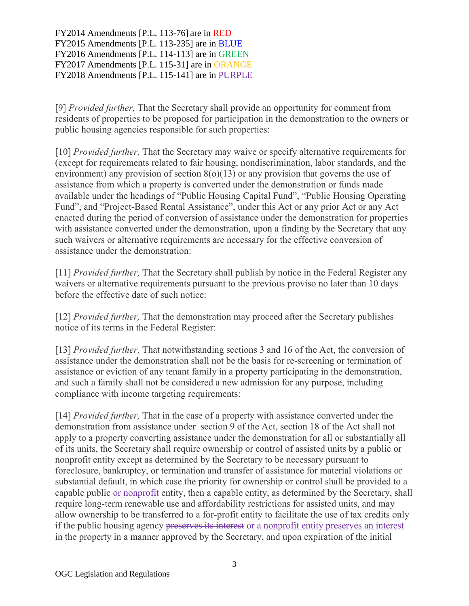[9] *Provided further,* That the Secretary shall provide an opportunity for comment from residents of properties to be proposed for participation in the demonstration to the owners or public housing agencies responsible for such properties:

[10] *Provided further,* That the Secretary may waive or specify alternative requirements for (except for requirements related to fair housing, nondiscrimination, labor standards, and the environment) any provision of section  $8(0)(13)$  or any provision that governs the use of assistance from which a property is converted under the demonstration or funds made available under the headings of "Public Housing Capital Fund", "Public Housing Operating Fund", and "Project-Based Rental Assistance", under this Act or any prior Act or any Act enacted during the period of conversion of assistance under the demonstration for properties with assistance converted under the demonstration, upon a finding by the Secretary that any such waivers or alternative requirements are necessary for the effective conversion of assistance under the demonstration:

[11] *Provided further,* That the Secretary shall publish by notice in the Federal Register any waivers or alternative requirements pursuant to the previous proviso no later than 10 days before the effective date of such notice:

[12] *Provided further,* That the demonstration may proceed after the Secretary publishes notice of its terms in the Federal Register:

[13] *Provided further,* That notwithstanding sections 3 and 16 of the Act, the conversion of assistance under the demonstration shall not be the basis for re-screening or termination of assistance or eviction of any tenant family in a property participating in the demonstration, and such a family shall not be considered a new admission for any purpose, including compliance with income targeting requirements:

[14] *Provided further,* That in the case of a property with assistance converted under the demonstration from assistance under section 9 of the Act, section 18 of the Act shall not apply to a property converting assistance under the demonstration for all or substantially all of its units, the Secretary shall require ownership or control of assisted units by a public or nonprofit entity except as determined by the Secretary to be necessary pursuant to foreclosure, bankruptcy, or termination and transfer of assistance for material violations or substantial default, in which case the priority for ownership or control shall be provided to a capable public or nonprofit entity, then a capable entity, as determined by the Secretary, shall require long-term renewable use and affordability restrictions for assisted units, and may allow ownership to be transferred to a for-profit entity to facilitate the use of tax credits only if the public housing agency preserves its interest or a nonprofit entity preserves an interest in the property in a manner approved by the Secretary, and upon expiration of the initial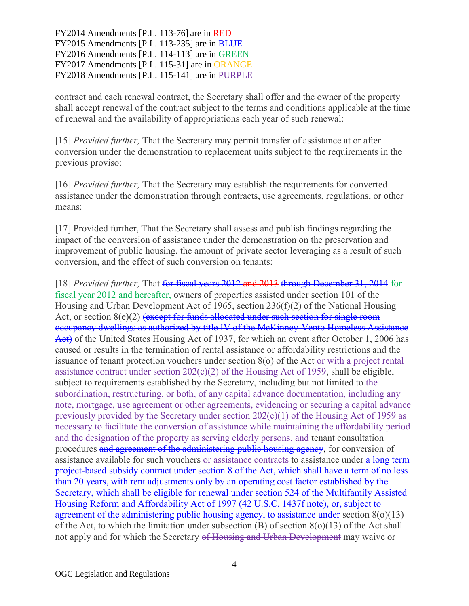contract and each renewal contract, the Secretary shall offer and the owner of the property shall accept renewal of the contract subject to the terms and conditions applicable at the time of renewal and the availability of appropriations each year of such renewal:

[15] *Provided further,* That the Secretary may permit transfer of assistance at or after conversion under the demonstration to replacement units subject to the requirements in the previous proviso:

[16] *Provided further,* That the Secretary may establish the requirements for converted assistance under the demonstration through contracts, use agreements, regulations, or other means:

[17] Provided further, That the Secretary shall assess and publish findings regarding the impact of the conversion of assistance under the demonstration on the preservation and improvement of public housing, the amount of private sector leveraging as a result of such conversion, and the effect of such conversion on tenants:

[18] *Provided further*, That for fiscal years 2012 and 2013 through December 31, 2014 for fiscal year 2012 and hereafter, owners of properties assisted under section 101 of the Housing and Urban Development Act of 1965, section 236(f)(2) of the National Housing Act, or section  $8(e)(2)$  (except for funds allocated under such section for single room occupancy dwellings as authorized by title IV of the McKinney-Vento Homeless Assistance Act) of the United States Housing Act of 1937, for which an event after October 1, 2006 has caused or results in the termination of rental assistance or affordability restrictions and the issuance of tenant protection vouchers under section 8(o) of the Act or with a project rental assistance contract under section  $202(c)(2)$  of the Housing Act of 1959, shall be eligible, subject to requirements established by the Secretary, including but not limited to the subordination, restructuring, or both, of any capital advance documentation, including any note, mortgage, use agreement or other agreements, evidencing or securing a capital advance previously provided by the Secretary under section 202(c)(1) of the Housing Act of 1959 as necessary to facilitate the conversion of assistance while maintaining the affordability period and the designation of the property as serving elderly persons, and tenant consultation procedures and agreement of the administering public housing agency, for conversion of assistance available for such vouchers or assistance contracts to assistance under a long term project-based subsidy contract under section 8 of the Act, which shall have a term of no less than 20 years, with rent adjustments only by an operating cost factor established by the Secretary, which shall be eligible for renewal under section 524 of the Multifamily Assisted Housing Reform and Affordability Act of 1997 (42 U.S.C. 1437f note), or, subject to agreement of the administering public housing agency, to assistance under section  $8(0)(13)$ of the Act, to which the limitation under subsection (B) of section 8(o)(13) of the Act shall not apply and for which the Secretary of Housing and Urban Development may waive or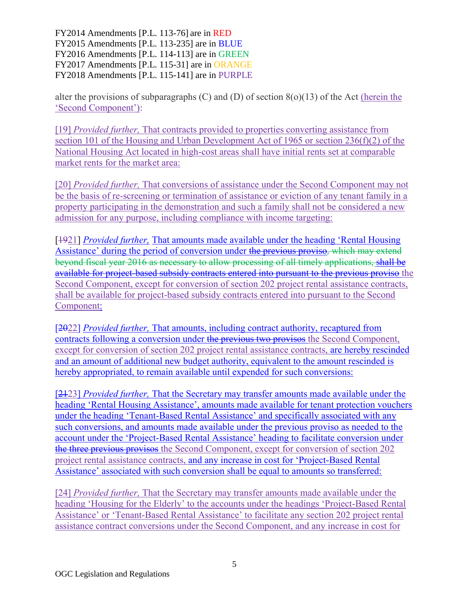alter the provisions of subparagraphs  $(C)$  and  $(D)$  of section  $8(o)(13)$  of the Act (herein the 'Second Component'):

[19] *Provided further,* That contracts provided to properties converting assistance from section 101 of the Housing and Urban Development Act of 1965 or section 236(f)(2) of the National Housing Act located in high-cost areas shall have initial rents set at comparable market rents for the market area:

[20] *Provided further,* That conversions of assistance under the Second Component may not be the basis of re-screening or termination of assistance or eviction of any tenant family in a property participating in the demonstration and such a family shall not be considered a new admission for any purpose, including compliance with income targeting:

[1921] *Provided further,* That amounts made available under the heading 'Rental Housing Assistance' during the period of conversion under the previous proviso, which may extend beyond fiscal year 2016 as necessary to allow processing of all timely applications, shall be available for project-based subsidy contracts entered into pursuant to the previous proviso the Second Component, except for conversion of section 202 project rental assistance contracts, shall be available for project-based subsidy contracts entered into pursuant to the Second Component:

[2022] *Provided further,* That amounts, including contract authority, recaptured from contracts following a conversion under the previous two provisos the Second Component, except for conversion of section 202 project rental assistance contracts, are hereby rescinded and an amount of additional new budget authority, equivalent to the amount rescinded is hereby appropriated, to remain available until expended for such conversions:

[2123] *Provided further,* That the Secretary may transfer amounts made available under the heading 'Rental Housing Assistance', amounts made available for tenant protection vouchers under the heading 'Tenant-Based Rental Assistance' and specifically associated with any such conversions, and amounts made available under the previous proviso as needed to the account under the 'Project-Based Rental Assistance' heading to facilitate conversion under the three previous provisos the Second Component, except for conversion of section 202 project rental assistance contracts, and any increase in cost for 'Project-Based Rental Assistance' associated with such conversion shall be equal to amounts so transferred:

[24] *Provided further,* That the Secretary may transfer amounts made available under the heading 'Housing for the Elderly' to the accounts under the headings 'Project-Based Rental Assistance' or 'Tenant-Based Rental Assistance' to facilitate any section 202 project rental assistance contract conversions under the Second Component, and any increase in cost for